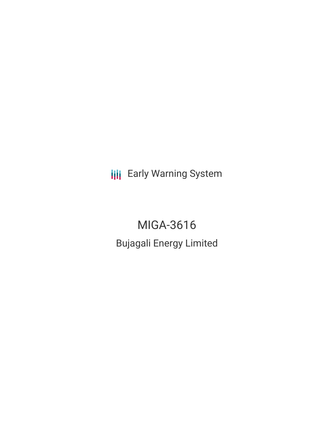**III** Early Warning System

MIGA-3616 Bujagali Energy Limited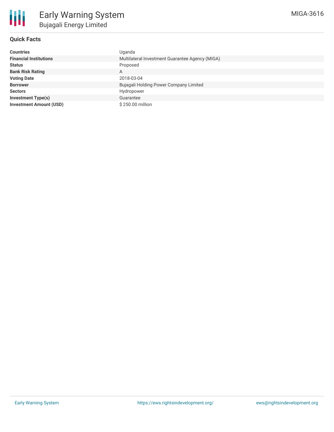

# **Quick Facts**

| <b>Countries</b>               | Uganda                                          |
|--------------------------------|-------------------------------------------------|
| <b>Financial Institutions</b>  | Multilateral Investment Guarantee Agency (MIGA) |
| <b>Status</b>                  | Proposed                                        |
| <b>Bank Risk Rating</b>        | A                                               |
| <b>Voting Date</b>             | 2018-03-04                                      |
| <b>Borrower</b>                | Bujagali Holding Power Company Limited          |
| <b>Sectors</b>                 | Hydropower                                      |
| <b>Investment Type(s)</b>      | Guarantee                                       |
| <b>Investment Amount (USD)</b> | \$250.00 million                                |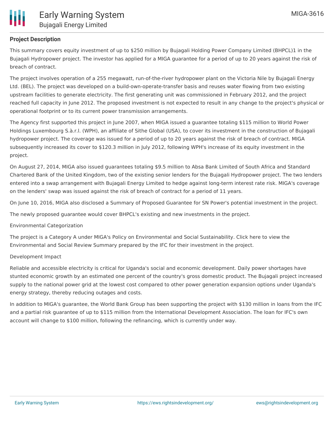

# **Project Description**

This summary covers equity investment of up to \$250 million by Bujagali Holding Power Company Limited (BHPCL)1 in the Bujagali Hydropower project. The investor has applied for a MIGA guarantee for a period of up to 20 years against the risk of breach of contract.

The project involves operation of a 255 megawatt, run-of-the-river hydropower plant on the Victoria Nile by Bujagali Energy Ltd. (BEL). The project was developed on a build-own-operate-transfer basis and reuses water flowing from two existing upstream facilities to generate electricity. The first generating unit was commissioned in February 2012, and the project reached full capacity in June 2012. The proposed investment is not expected to result in any change to the project's physical or operational footprint or to its current power transmission arrangements.

The Agency first supported this project in June 2007, when MIGA issued a guarantee totaling \$115 million to World Power Holdings Luxembourg S.à.r.l. (WPH), an affiliate of Sithe Global (USA), to cover its investment in the construction of Bujagali hydropower project. The coverage was issued for a period of up to 20 years against the risk of breach of contract. MIGA subsequently increased its cover to \$120.3 million in July 2012, following WPH's increase of its equity investment in the project.

On August 27, 2014, MIGA also issued guarantees totaling \$9.5 million to Absa Bank Limited of South Africa and Standard Chartered Bank of the United Kingdom, two of the existing senior lenders for the Bujagali Hydropower project. The two lenders entered into a swap arrangement with Bujagali Energy Limited to hedge against long-term interest rate risk. MIGA's coverage on the lenders' swap was issued against the risk of breach of contract for a period of 11 years.

On June 10, 2016, MIGA also disclosed a Summary of Proposed Guarantee for SN Power's potential investment in the project.

The newly proposed guarantee would cover BHPCL's existing and new investments in the project.

#### Environmental Categorization

The project is a Category A under MIGA's Policy on Environmental and Social Sustainability. Click here to view the Environmental and Social Review Summary prepared by the IFC for their investment in the project.

### Development Impact

Reliable and accessible electricity is critical for Uganda's social and economic development. Daily power shortages have stunted economic growth by an estimated one percent of the country's gross domestic product. The Bujagali project increased supply to the national power grid at the lowest cost compared to other power generation expansion options under Uganda's energy strategy, thereby reducing outages and costs.

In addition to MIGA's guarantee, the World Bank Group has been supporting the project with \$130 million in loans from the IFC and a partial risk guarantee of up to \$115 million from the International Development Association. The loan for IFC's own account will change to \$100 million, following the refinancing, which is currently under way.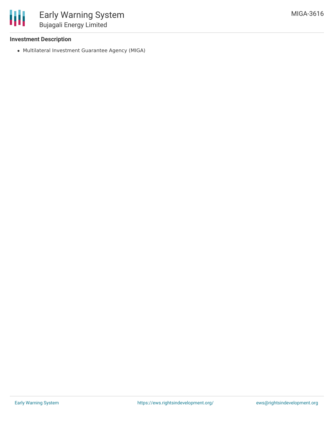

## **Investment Description**

Multilateral Investment Guarantee Agency (MIGA)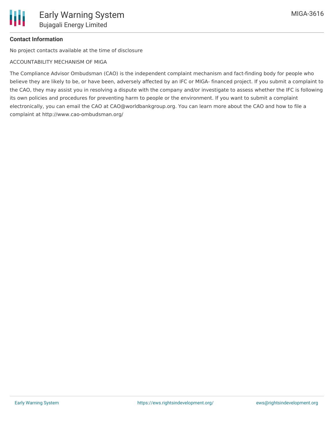# **Contact Information**

No project contacts available at the time of disclosure

## ACCOUNTABILITY MECHANISM OF MIGA

The Compliance Advisor Ombudsman (CAO) is the independent complaint mechanism and fact-finding body for people who believe they are likely to be, or have been, adversely affected by an IFC or MIGA- financed project. If you submit a complaint to the CAO, they may assist you in resolving a dispute with the company and/or investigate to assess whether the IFC is following its own policies and procedures for preventing harm to people or the environment. If you want to submit a complaint electronically, you can email the CAO at CAO@worldbankgroup.org. You can learn more about the CAO and how to file a complaint at http://www.cao-ombudsman.org/